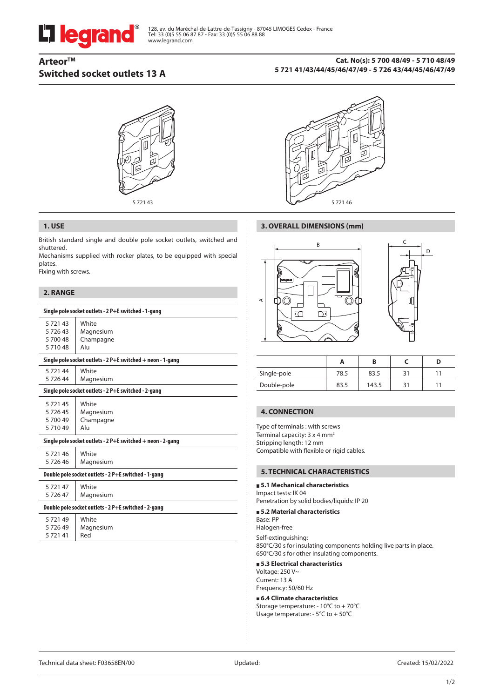# **L'i legrand**

# **ArteorTM Switched socket outlets 13 A**

#### **Cat. No(s): 5 700 48/49 - 5 710 48/49 5 721 41/43/44/45/46/47/49 - 5 726 43/44/45/46/47/49**





#### **1. USE**

British standard single and double pole socket outlets, switched and shuttered.

Mechanisms supplied with rocker plates, to be equipped with special plates.

Fixing with screws.

## **2. RANGE**

| Single pole socket outlets - 2 P+E switched - 1-gang          |                                        |  |  |  |
|---------------------------------------------------------------|----------------------------------------|--|--|--|
| 572143<br>572643<br>570048<br>571048                          | White<br>Magnesium<br>Champagne<br>Alu |  |  |  |
| Single pole socket outlets - $2$ P+E switched + neon - 1-gang |                                        |  |  |  |
| 572144<br>572644                                              | White<br>Magnesium                     |  |  |  |
| Single pole socket outlets - 2 P+E switched - 2-gang          |                                        |  |  |  |
| 572145<br>572645<br>5 700 49<br>571049                        | White<br>Magnesium<br>Champagne<br>Alu |  |  |  |
| Single pole socket outlets - $2$ P+E switched + neon - 2-gang |                                        |  |  |  |
| 572146<br>572646                                              | White<br>Magnesium                     |  |  |  |
| Double pole socket outlets - 2 P+E switched - 1-gang          |                                        |  |  |  |
| 572147<br>572647                                              | White<br>Magnesium                     |  |  |  |
| Double pole socket outlets - 2 P+E switched - 2-gang          |                                        |  |  |  |
| 572149<br>572649<br>572141                                    | White<br>Magnesium<br>Red              |  |  |  |
|                                                               |                                        |  |  |  |

#### **3. OVERALL DIMENSIONS (mm)**





|             | Α    |       |  |
|-------------|------|-------|--|
| Single-pole | 78.5 | 83.5  |  |
| Double-pole | 83.5 | 143.5 |  |

#### **4. CONNECTION**

Type of terminals : with screws Terminal capacity: 3 x 4 mm2 Stripping length: 12 mm Compatible with flexible or rigid cables.

#### **5. TECHNICAL CHARACTERISTICS**

#### **5.1 Mechanical characteristics**

Impact tests: IK 04 Penetration by solid bodies/liquids: IP 20

#### **5.2 Material characteristics**

Base: PP Halogen-free

Self-extinguishing: 850°C/30 s for insulating components holding live parts in place. 650°C/30 s for other insulating components.

#### **5.3 Electrical characteristics**

Voltage: 250 V~ Current: 13 A Frequency: 50/60 Hz

#### **6.4 Climate characteristics**

Storage temperature: - 10°C to + 70°C Usage temperature: - 5°C to + 50°C